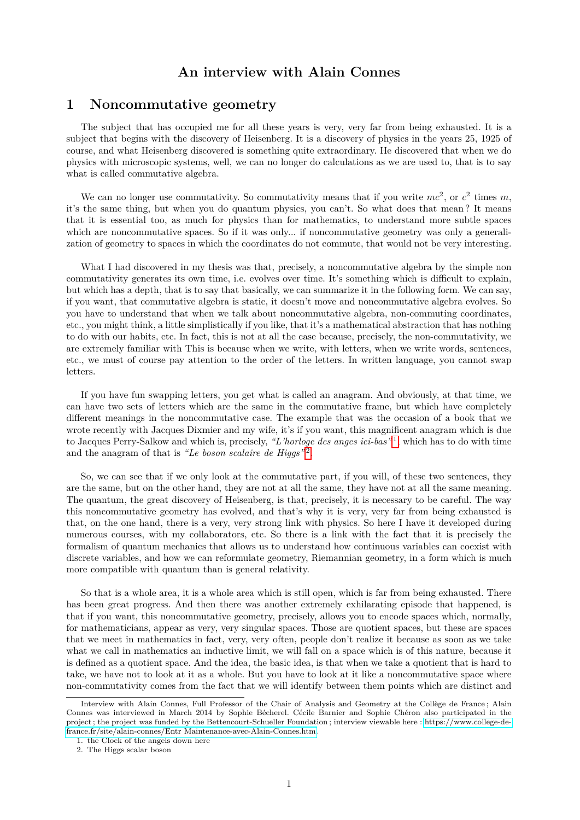# **An interview with Alain Connes**

## **1 Noncommutative geometry**

The subject that has occupied me for all these years is very, very far from being exhausted. It is a subject that begins with the discovery of Heisenberg. It is a discovery of physics in the years 25, 1925 of course, and what Heisenberg discovered is something quite extraordinary. He discovered that when we do physics with microscopic systems, well, we can no longer do calculations as we are used to, that is to say what is called commutative algebra.

We can no longer use commutativity. So commutativity means that if you write  $mc^2$ , or  $c^2$  times  $m$ , it's the same thing, but when you do quantum physics, you can't. So what does that mean ? It means that it is essential too, as much for physics than for mathematics, to understand more subtle spaces which are noncommutative spaces. So if it was only... if noncommutative geometry was only a generalization of geometry to spaces in which the coordinates do not commute, that would not be very interesting.

What I had discovered in my thesis was that, precisely, a noncommutative algebra by the simple non commutativity generates its own time, i.e. evolves over time. It's something which is difficult to explain, but which has a depth, that is to say that basically, we can summarize it in the following form. We can say, if you want, that commutative algebra is static, it doesn't move and noncommutative algebra evolves. So you have to understand that when we talk about noncommutative algebra, non-commuting coordinates, etc., you might think, a little simplistically if you like, that it's a mathematical abstraction that has nothing to do with our habits, etc. In fact, this is not at all the case because, precisely, the non-commutativity, we are extremely familiar with This is because when we write, with letters, when we write words, sentences, etc., we must of course pay attention to the order of the letters. In written language, you cannot swap letters.

If you have fun swapping letters, you get what is called an anagram. And obviously, at that time, we can have two sets of letters which are the same in the commutative frame, but which have completely different meanings in the noncommutative case. The example that was the occasion of a book that we wrote recently with Jacques Dixmier and my wife, it's if you want, this magnificent anagram which is due to Jacques Perry-Salkow and which is, precisely, *"L'horloge des anges ici-bas"* [1](#page-0-0) , which has to do with time and the anagram of that is "Le boson scalaire de Higgs"<sup>[2](#page-0-1)</sup>.

So, we can see that if we only look at the commutative part, if you will, of these two sentences, they are the same, but on the other hand, they are not at all the same, they have not at all the same meaning. The quantum, the great discovery of Heisenberg, is that, precisely, it is necessary to be careful. The way this noncommutative geometry has evolved, and that's why it is very, very far from being exhausted is that, on the one hand, there is a very, very strong link with physics. So here I have it developed during numerous courses, with my collaborators, etc. So there is a link with the fact that it is precisely the formalism of quantum mechanics that allows us to understand how continuous variables can coexist with discrete variables, and how we can reformulate geometry, Riemannian geometry, in a form which is much more compatible with quantum than is general relativity.

So that is a whole area, it is a whole area which is still open, which is far from being exhausted. There has been great progress. And then there was another extremely exhilarating episode that happened, is that if you want, this noncommutative geometry, precisely, allows you to encode spaces which, normally, for mathematicians, appear as very, very singular spaces. Those are quotient spaces, but these are spaces that we meet in mathematics in fact, very, very often, people don't realize it because as soon as we take what we call in mathematics an inductive limit, we will fall on a space which is of this nature, because it is defined as a quotient space. And the idea, the basic idea, is that when we take a quotient that is hard to take, we have not to look at it as a whole. But you have to look at it like a noncommutative space where non-commutativity comes from the fact that we will identify between them points which are distinct and

Interview with Alain Connes, Full Professor of the Chair of Analysis and Geometry at the Collège de France ; Alain Connes was interviewed in March 2014 by Sophie Bécherel. Cécile Barnier and Sophie Chéron also participated in the project ; the project was funded by the Bettencourt-Schueller Foundation ; interview viewable here : [https://www.college-de](https://www.college-de-france.fr/site/alain-connes/Entr Maintenance-avec-Alain-Connes.htm)[france.fr/site/alain-connes/Entr Maintenance-avec-Alain-Connes.htm.](https://www.college-de-france.fr/site/alain-connes/Entr Maintenance-avec-Alain-Connes.htm)

<span id="page-0-0"></span><sup>1.</sup> the Clock of the angels down here

<span id="page-0-1"></span><sup>2.</sup> The Higgs scalar boson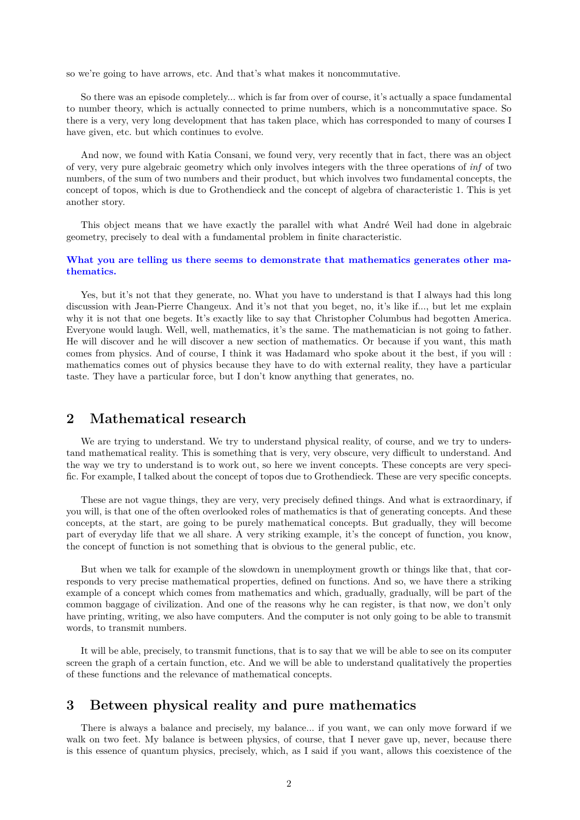so we're going to have arrows, etc. And that's what makes it noncommutative.

So there was an episode completely... which is far from over of course, it's actually a space fundamental to number theory, which is actually connected to prime numbers, which is a noncommutative space. So there is a very, very long development that has taken place, which has corresponded to many of courses I have given, etc. but which continues to evolve.

And now, we found with Katia Consani, we found very, very recently that in fact, there was an object of very, very pure algebraic geometry which only involves integers with the three operations of *inf* of two numbers, of the sum of two numbers and their product, but which involves two fundamental concepts, the concept of topos, which is due to Grothendieck and the concept of algebra of characteristic 1. This is yet another story.

This object means that we have exactly the parallel with what André Weil had done in algebraic geometry, precisely to deal with a fundamental problem in finite characteristic.

### **What you are telling us there seems to demonstrate that mathematics generates other mathematics.**

Yes, but it's not that they generate, no. What you have to understand is that I always had this long discussion with Jean-Pierre Changeux. And it's not that you beget, no, it's like if..., but let me explain why it is not that one begets. It's exactly like to say that Christopher Columbus had begotten America. Everyone would laugh. Well, well, mathematics, it's the same. The mathematician is not going to father. He will discover and he will discover a new section of mathematics. Or because if you want, this math comes from physics. And of course, I think it was Hadamard who spoke about it the best, if you will : mathematics comes out of physics because they have to do with external reality, they have a particular taste. They have a particular force, but I don't know anything that generates, no.

## **2 Mathematical research**

We are trying to understand. We try to understand physical reality, of course, and we try to understand mathematical reality. This is something that is very, very obscure, very difficult to understand. And the way we try to understand is to work out, so here we invent concepts. These concepts are very specific. For example, I talked about the concept of topos due to Grothendieck. These are very specific concepts.

These are not vague things, they are very, very precisely defined things. And what is extraordinary, if you will, is that one of the often overlooked roles of mathematics is that of generating concepts. And these concepts, at the start, are going to be purely mathematical concepts. But gradually, they will become part of everyday life that we all share. A very striking example, it's the concept of function, you know, the concept of function is not something that is obvious to the general public, etc.

But when we talk for example of the slowdown in unemployment growth or things like that, that corresponds to very precise mathematical properties, defined on functions. And so, we have there a striking example of a concept which comes from mathematics and which, gradually, gradually, will be part of the common baggage of civilization. And one of the reasons why he can register, is that now, we don't only have printing, writing, we also have computers. And the computer is not only going to be able to transmit words, to transmit numbers.

It will be able, precisely, to transmit functions, that is to say that we will be able to see on its computer screen the graph of a certain function, etc. And we will be able to understand qualitatively the properties of these functions and the relevance of mathematical concepts.

# **3 Between physical reality and pure mathematics**

There is always a balance and precisely, my balance... if you want, we can only move forward if we walk on two feet. My balance is between physics, of course, that I never gave up, never, because there is this essence of quantum physics, precisely, which, as I said if you want, allows this coexistence of the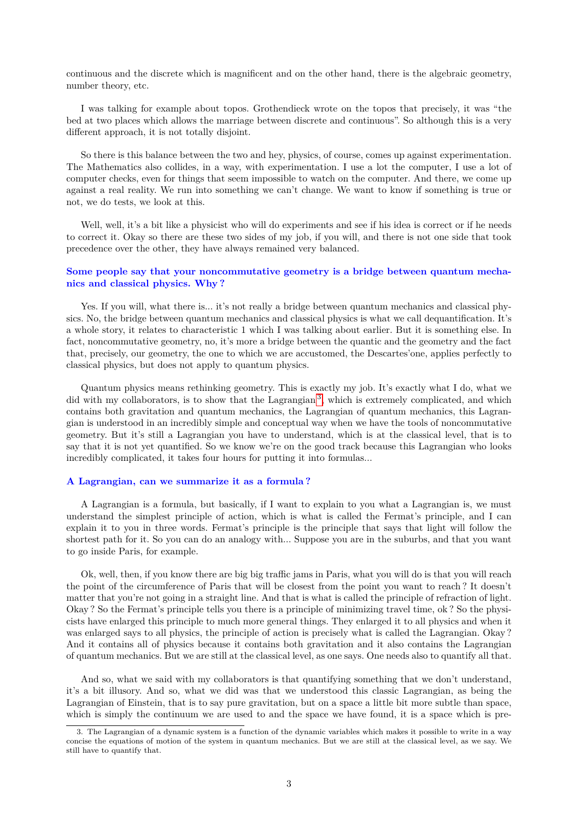continuous and the discrete which is magnificent and on the other hand, there is the algebraic geometry, number theory, etc.

I was talking for example about topos. Grothendieck wrote on the topos that precisely, it was "the bed at two places which allows the marriage between discrete and continuous". So although this is a very different approach, it is not totally disjoint.

So there is this balance between the two and hey, physics, of course, comes up against experimentation. The Mathematics also collides, in a way, with experimentation. I use a lot the computer, I use a lot of computer checks, even for things that seem impossible to watch on the computer. And there, we come up against a real reality. We run into something we can't change. We want to know if something is true or not, we do tests, we look at this.

Well, well, it's a bit like a physicist who will do experiments and see if his idea is correct or if he needs to correct it. Okay so there are these two sides of my job, if you will, and there is not one side that took precedence over the other, they have always remained very balanced.

### **Some people say that your noncommutative geometry is a bridge between quantum mechanics and classical physics. Why ?**

Yes. If you will, what there is... it's not really a bridge between quantum mechanics and classical physics. No, the bridge between quantum mechanics and classical physics is what we call dequantification. It's a whole story, it relates to characteristic 1 which I was talking about earlier. But it is something else. In fact, noncommutative geometry, no, it's more a bridge between the quantic and the geometry and the fact that, precisely, our geometry, the one to which we are accustomed, the Descartes'one, applies perfectly to classical physics, but does not apply to quantum physics.

Quantum physics means rethinking geometry. This is exactly my job. It's exactly what I do, what we did with my collaborators, is to show that the Lagrangian<sup>[3](#page-2-0)</sup>, which is extremely complicated, and which contains both gravitation and quantum mechanics, the Lagrangian of quantum mechanics, this Lagrangian is understood in an incredibly simple and conceptual way when we have the tools of noncommutative geometry. But it's still a Lagrangian you have to understand, which is at the classical level, that is to say that it is not yet quantified. So we know we're on the good track because this Lagrangian who looks incredibly complicated, it takes four hours for putting it into formulas...

### **A Lagrangian, can we summarize it as a formula ?**

A Lagrangian is a formula, but basically, if I want to explain to you what a Lagrangian is, we must understand the simplest principle of action, which is what is called the Fermat's principle, and I can explain it to you in three words. Fermat's principle is the principle that says that light will follow the shortest path for it. So you can do an analogy with... Suppose you are in the suburbs, and that you want to go inside Paris, for example.

Ok, well, then, if you know there are big big traffic jams in Paris, what you will do is that you will reach the point of the circumference of Paris that will be closest from the point you want to reach ? It doesn't matter that you're not going in a straight line. And that is what is called the principle of refraction of light. Okay ? So the Fermat's principle tells you there is a principle of minimizing travel time, ok ? So the physicists have enlarged this principle to much more general things. They enlarged it to all physics and when it was enlarged says to all physics, the principle of action is precisely what is called the Lagrangian. Okay ? And it contains all of physics because it contains both gravitation and it also contains the Lagrangian of quantum mechanics. But we are still at the classical level, as one says. One needs also to quantify all that.

And so, what we said with my collaborators is that quantifying something that we don't understand, it's a bit illusory. And so, what we did was that we understood this classic Lagrangian, as being the Lagrangian of Einstein, that is to say pure gravitation, but on a space a little bit more subtle than space, which is simply the continuum we are used to and the space we have found, it is a space which is pre-

<span id="page-2-0"></span><sup>3.</sup> The Lagrangian of a dynamic system is a function of the dynamic variables which makes it possible to write in a way concise the equations of motion of the system in quantum mechanics. But we are still at the classical level, as we say. We still have to quantify that.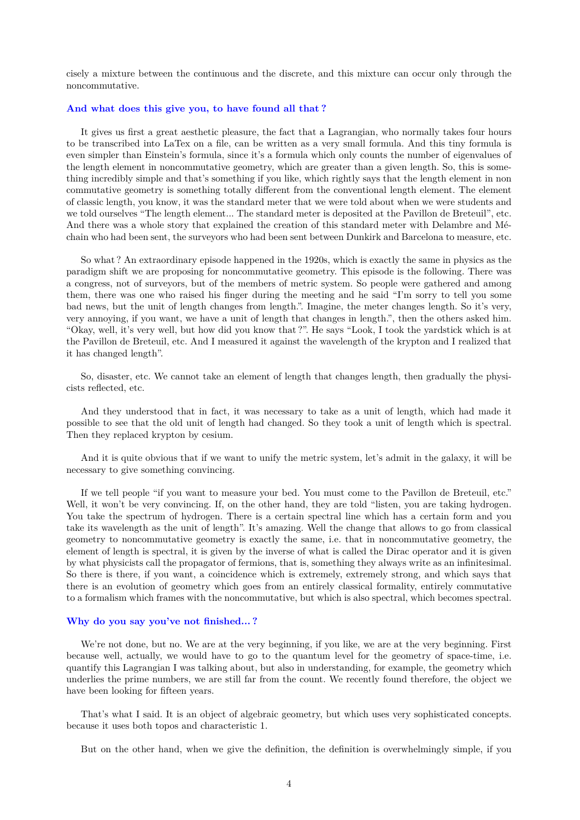cisely a mixture between the continuous and the discrete, and this mixture can occur only through the noncommutative.

#### **And what does this give you, to have found all that ?**

It gives us first a great aesthetic pleasure, the fact that a Lagrangian, who normally takes four hours to be transcribed into LaTex on a file, can be written as a very small formula. And this tiny formula is even simpler than Einstein's formula, since it's a formula which only counts the number of eigenvalues of the length element in noncommutative geometry, which are greater than a given length. So, this is something incredibly simple and that's something if you like, which rightly says that the length element in non commutative geometry is something totally different from the conventional length element. The element of classic length, you know, it was the standard meter that we were told about when we were students and we told ourselves "The length element... The standard meter is deposited at the Pavillon de Breteuil", etc. And there was a whole story that explained the creation of this standard meter with Delambre and Méchain who had been sent, the surveyors who had been sent between Dunkirk and Barcelona to measure, etc.

So what ? An extraordinary episode happened in the 1920s, which is exactly the same in physics as the paradigm shift we are proposing for noncommutative geometry. This episode is the following. There was a congress, not of surveyors, but of the members of metric system. So people were gathered and among them, there was one who raised his finger during the meeting and he said "I'm sorry to tell you some bad news, but the unit of length changes from length.". Imagine, the meter changes length. So it's very, very annoying, if you want, we have a unit of length that changes in length.", then the others asked him. "Okay, well, it's very well, but how did you know that ?". He says "Look, I took the yardstick which is at the Pavillon de Breteuil, etc. And I measured it against the wavelength of the krypton and I realized that it has changed length".

So, disaster, etc. We cannot take an element of length that changes length, then gradually the physicists reflected, etc.

And they understood that in fact, it was necessary to take as a unit of length, which had made it possible to see that the old unit of length had changed. So they took a unit of length which is spectral. Then they replaced krypton by cesium.

And it is quite obvious that if we want to unify the metric system, let's admit in the galaxy, it will be necessary to give something convincing.

If we tell people "if you want to measure your bed. You must come to the Pavillon de Breteuil, etc." Well, it won't be very convincing. If, on the other hand, they are told "listen, you are taking hydrogen. You take the spectrum of hydrogen. There is a certain spectral line which has a certain form and you take its wavelength as the unit of length". It's amazing. Well the change that allows to go from classical geometry to noncommutative geometry is exactly the same, i.e. that in noncommutative geometry, the element of length is spectral, it is given by the inverse of what is called the Dirac operator and it is given by what physicists call the propagator of fermions, that is, something they always write as an infinitesimal. So there is there, if you want, a coincidence which is extremely, extremely strong, and which says that there is an evolution of geometry which goes from an entirely classical formality, entirely commutative to a formalism which frames with the noncommutative, but which is also spectral, which becomes spectral.

### **Why do you say you've not finished... ?**

We're not done, but no. We are at the very beginning, if you like, we are at the very beginning. First because well, actually, we would have to go to the quantum level for the geometry of space-time, i.e. quantify this Lagrangian I was talking about, but also in understanding, for example, the geometry which underlies the prime numbers, we are still far from the count. We recently found therefore, the object we have been looking for fifteen years.

That's what I said. It is an object of algebraic geometry, but which uses very sophisticated concepts. because it uses both topos and characteristic 1.

But on the other hand, when we give the definition, the definition is overwhelmingly simple, if you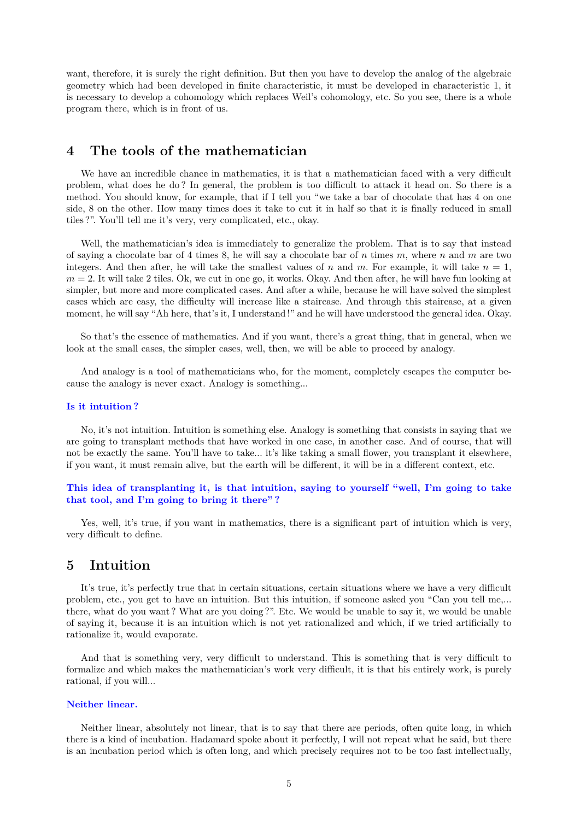want, therefore, it is surely the right definition. But then you have to develop the analog of the algebraic geometry which had been developed in finite characteristic, it must be developed in characteristic 1, it is necessary to develop a cohomology which replaces Weil's cohomology, etc. So you see, there is a whole program there, which is in front of us.

# **4 The tools of the mathematician**

We have an incredible chance in mathematics, it is that a mathematician faced with a very difficult problem, what does he do ? In general, the problem is too difficult to attack it head on. So there is a method. You should know, for example, that if I tell you "we take a bar of chocolate that has 4 on one side, 8 on the other. How many times does it take to cut it in half so that it is finally reduced in small tiles ?". You'll tell me it's very, very complicated, etc., okay.

Well, the mathematician's idea is immediately to generalize the problem. That is to say that instead of saying a chocolate bar of 4 times 8, he will say a chocolate bar of *n* times *m*, where *n* and *m* are two integers. And then after, he will take the smallest values of *n* and *m*. For example, it will take  $n = 1$ ,  $m = 2$ . It will take 2 tiles. Ok, we cut in one go, it works. Okay. And then after, he will have fun looking at simpler, but more and more complicated cases. And after a while, because he will have solved the simplest cases which are easy, the difficulty will increase like a staircase. And through this staircase, at a given moment, he will say "Ah here, that's it, I understand !" and he will have understood the general idea. Okay.

So that's the essence of mathematics. And if you want, there's a great thing, that in general, when we look at the small cases, the simpler cases, well, then, we will be able to proceed by analogy.

And analogy is a tool of mathematicians who, for the moment, completely escapes the computer because the analogy is never exact. Analogy is something...

#### **Is it intuition ?**

No, it's not intuition. Intuition is something else. Analogy is something that consists in saying that we are going to transplant methods that have worked in one case, in another case. And of course, that will not be exactly the same. You'll have to take... it's like taking a small flower, you transplant it elsewhere, if you want, it must remain alive, but the earth will be different, it will be in a different context, etc.

### **This idea of transplanting it, is that intuition, saying to yourself "well, I'm going to take that tool, and I'm going to bring it there" ?**

Yes, well, it's true, if you want in mathematics, there is a significant part of intuition which is very, very difficult to define.

## **5 Intuition**

It's true, it's perfectly true that in certain situations, certain situations where we have a very difficult problem, etc., you get to have an intuition. But this intuition, if someone asked you "Can you tell me,... there, what do you want ? What are you doing ?". Etc. We would be unable to say it, we would be unable of saying it, because it is an intuition which is not yet rationalized and which, if we tried artificially to rationalize it, would evaporate.

And that is something very, very difficult to understand. This is something that is very difficult to formalize and which makes the mathematician's work very difficult, it is that his entirely work, is purely rational, if you will...

#### **Neither linear.**

Neither linear, absolutely not linear, that is to say that there are periods, often quite long, in which there is a kind of incubation. Hadamard spoke about it perfectly, I will not repeat what he said, but there is an incubation period which is often long, and which precisely requires not to be too fast intellectually,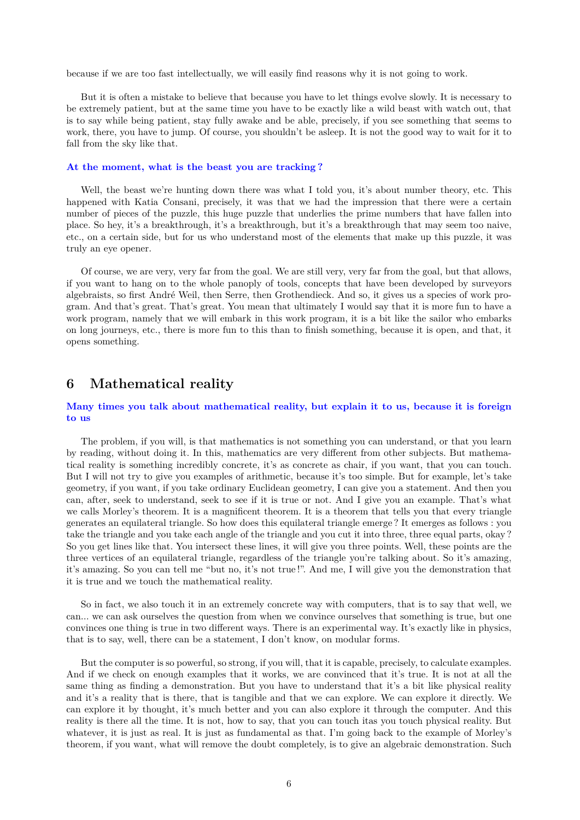because if we are too fast intellectually, we will easily find reasons why it is not going to work.

But it is often a mistake to believe that because you have to let things evolve slowly. It is necessary to be extremely patient, but at the same time you have to be exactly like a wild beast with watch out, that is to say while being patient, stay fully awake and be able, precisely, if you see something that seems to work, there, you have to jump. Of course, you shouldn't be asleep. It is not the good way to wait for it to fall from the sky like that.

#### **At the moment, what is the beast you are tracking ?**

Well, the beast we're hunting down there was what I told you, it's about number theory, etc. This happened with Katia Consani, precisely, it was that we had the impression that there were a certain number of pieces of the puzzle, this huge puzzle that underlies the prime numbers that have fallen into place. So hey, it's a breakthrough, it's a breakthrough, but it's a breakthrough that may seem too naive, etc., on a certain side, but for us who understand most of the elements that make up this puzzle, it was truly an eye opener.

Of course, we are very, very far from the goal. We are still very, very far from the goal, but that allows, if you want to hang on to the whole panoply of tools, concepts that have been developed by surveyors algebraists, so first André Weil, then Serre, then Grothendieck. And so, it gives us a species of work program. And that's great. That's great. You mean that ultimately I would say that it is more fun to have a work program, namely that we will embark in this work program, it is a bit like the sailor who embarks on long journeys, etc., there is more fun to this than to finish something, because it is open, and that, it opens something.

## **6 Mathematical reality**

### **Many times you talk about mathematical reality, but explain it to us, because it is foreign to us**

The problem, if you will, is that mathematics is not something you can understand, or that you learn by reading, without doing it. In this, mathematics are very different from other subjects. But mathematical reality is something incredibly concrete, it's as concrete as chair, if you want, that you can touch. But I will not try to give you examples of arithmetic, because it's too simple. But for example, let's take geometry, if you want, if you take ordinary Euclidean geometry, I can give you a statement. And then you can, after, seek to understand, seek to see if it is true or not. And I give you an example. That's what we calls Morley's theorem. It is a magnificent theorem. It is a theorem that tells you that every triangle generates an equilateral triangle. So how does this equilateral triangle emerge ? It emerges as follows : you take the triangle and you take each angle of the triangle and you cut it into three, three equal parts, okay ? So you get lines like that. You intersect these lines, it will give you three points. Well, these points are the three vertices of an equilateral triangle, regardless of the triangle you're talking about. So it's amazing, it's amazing. So you can tell me "but no, it's not true !". And me, I will give you the demonstration that it is true and we touch the mathematical reality.

So in fact, we also touch it in an extremely concrete way with computers, that is to say that well, we can... we can ask ourselves the question from when we convince ourselves that something is true, but one convinces one thing is true in two different ways. There is an experimental way. It's exactly like in physics, that is to say, well, there can be a statement, I don't know, on modular forms.

But the computer is so powerful, so strong, if you will, that it is capable, precisely, to calculate examples. And if we check on enough examples that it works, we are convinced that it's true. It is not at all the same thing as finding a demonstration. But you have to understand that it's a bit like physical reality and it's a reality that is there, that is tangible and that we can explore. We can explore it directly. We can explore it by thought, it's much better and you can also explore it through the computer. And this reality is there all the time. It is not, how to say, that you can touch itas you touch physical reality. But whatever, it is just as real. It is just as fundamental as that. I'm going back to the example of Morley's theorem, if you want, what will remove the doubt completely, is to give an algebraic demonstration. Such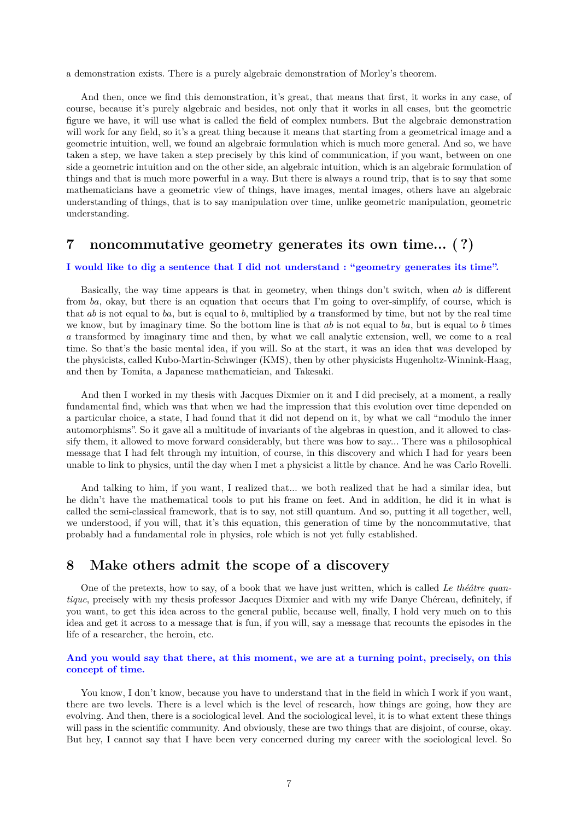a demonstration exists. There is a purely algebraic demonstration of Morley's theorem.

And then, once we find this demonstration, it's great, that means that first, it works in any case, of course, because it's purely algebraic and besides, not only that it works in all cases, but the geometric figure we have, it will use what is called the field of complex numbers. But the algebraic demonstration will work for any field, so it's a great thing because it means that starting from a geometrical image and a geometric intuition, well, we found an algebraic formulation which is much more general. And so, we have taken a step, we have taken a step precisely by this kind of communication, if you want, between on one side a geometric intuition and on the other side, an algebraic intuition, which is an algebraic formulation of things and that is much more powerful in a way. But there is always a round trip, that is to say that some mathematicians have a geometric view of things, have images, mental images, others have an algebraic understanding of things, that is to say manipulation over time, unlike geometric manipulation, geometric understanding.

## **7 noncommutative geometry generates its own time... ( ?)**

#### **I would like to dig a sentence that I did not understand : "geometry generates its time".**

Basically, the way time appears is that in geometry, when things don't switch, when *ab* is different from *ba*, okay, but there is an equation that occurs that I'm going to over-simplify, of course, which is that *ab* is not equal to *ba*, but is equal to *b*, multiplied by *a* transformed by time, but not by the real time we know, but by imaginary time. So the bottom line is that *ab* is not equal to *ba*, but is equal to *b* times *a* transformed by imaginary time and then, by what we call analytic extension, well, we come to a real time. So that's the basic mental idea, if you will. So at the start, it was an idea that was developed by the physicists, called Kubo-Martin-Schwinger (KMS), then by other physicists Hugenholtz-Winnink-Haag, and then by Tomita, a Japanese mathematician, and Takesaki.

And then I worked in my thesis with Jacques Dixmier on it and I did precisely, at a moment, a really fundamental find, which was that when we had the impression that this evolution over time depended on a particular choice, a state, I had found that it did not depend on it, by what we call "modulo the inner automorphisms". So it gave all a multitude of invariants of the algebras in question, and it allowed to classify them, it allowed to move forward considerably, but there was how to say... There was a philosophical message that I had felt through my intuition, of course, in this discovery and which I had for years been unable to link to physics, until the day when I met a physicist a little by chance. And he was Carlo Rovelli.

And talking to him, if you want, I realized that... we both realized that he had a similar idea, but he didn't have the mathematical tools to put his frame on feet. And in addition, he did it in what is called the semi-classical framework, that is to say, not still quantum. And so, putting it all together, well, we understood, if you will, that it's this equation, this generation of time by the noncommutative, that probably had a fundamental role in physics, role which is not yet fully established.

## **8 Make others admit the scope of a discovery**

One of the pretexts, how to say, of a book that we have just written, which is called *Le théâtre quantique*, precisely with my thesis professor Jacques Dixmier and with my wife Danye Chéreau, definitely, if you want, to get this idea across to the general public, because well, finally, I hold very much on to this idea and get it across to a message that is fun, if you will, say a message that recounts the episodes in the life of a researcher, the heroin, etc.

### **And you would say that there, at this moment, we are at a turning point, precisely, on this concept of time.**

You know, I don't know, because you have to understand that in the field in which I work if you want, there are two levels. There is a level which is the level of research, how things are going, how they are evolving. And then, there is a sociological level. And the sociological level, it is to what extent these things will pass in the scientific community. And obviously, these are two things that are disjoint, of course, okay. But hey, I cannot say that I have been very concerned during my career with the sociological level. So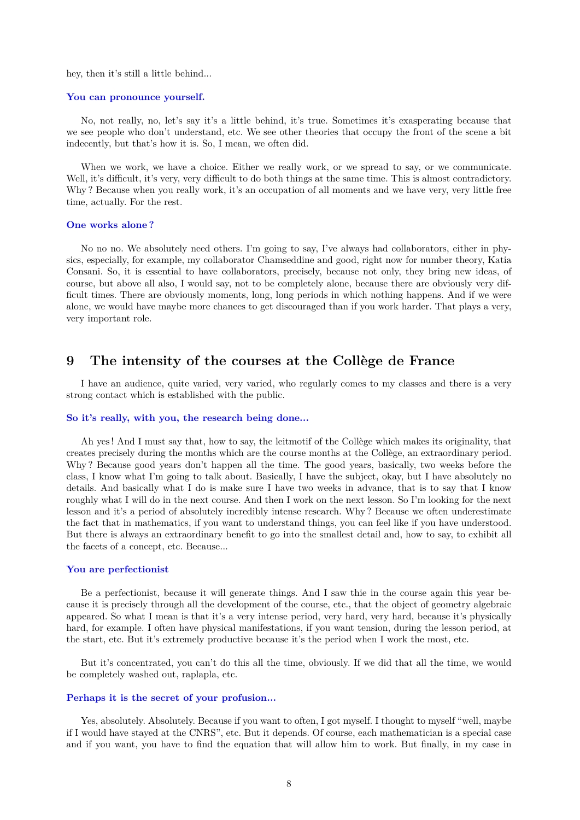hey, then it's still a little behind...

#### **You can pronounce yourself.**

No, not really, no, let's say it's a little behind, it's true. Sometimes it's exasperating because that we see people who don't understand, etc. We see other theories that occupy the front of the scene a bit indecently, but that's how it is. So, I mean, we often did.

When we work, we have a choice. Either we really work, or we spread to say, or we communicate. Well, it's difficult, it's very, very difficult to do both things at the same time. This is almost contradictory. Why? Because when you really work, it's an occupation of all moments and we have very, very little free time, actually. For the rest.

### **One works alone ?**

No no no. We absolutely need others. I'm going to say, I've always had collaborators, either in physics, especially, for example, my collaborator Chamseddine and good, right now for number theory, Katia Consani. So, it is essential to have collaborators, precisely, because not only, they bring new ideas, of course, but above all also, I would say, not to be completely alone, because there are obviously very difficult times. There are obviously moments, long, long periods in which nothing happens. And if we were alone, we would have maybe more chances to get discouraged than if you work harder. That plays a very, very important role.

## **9 The intensity of the courses at the Collège de France**

I have an audience, quite varied, very varied, who regularly comes to my classes and there is a very strong contact which is established with the public.

#### **So it's really, with you, the research being done...**

Ah yes ! And I must say that, how to say, the leitmotif of the Collège which makes its originality, that creates precisely during the months which are the course months at the Collège, an extraordinary period. Why ? Because good years don't happen all the time. The good years, basically, two weeks before the class, I know what I'm going to talk about. Basically, I have the subject, okay, but I have absolutely no details. And basically what I do is make sure I have two weeks in advance, that is to say that I know roughly what I will do in the next course. And then I work on the next lesson. So I'm looking for the next lesson and it's a period of absolutely incredibly intense research. Why ? Because we often underestimate the fact that in mathematics, if you want to understand things, you can feel like if you have understood. But there is always an extraordinary benefit to go into the smallest detail and, how to say, to exhibit all the facets of a concept, etc. Because...

### **You are perfectionist**

Be a perfectionist, because it will generate things. And I saw thie in the course again this year because it is precisely through all the development of the course, etc., that the object of geometry algebraic appeared. So what I mean is that it's a very intense period, very hard, very hard, because it's physically hard, for example. I often have physical manifestations, if you want tension, during the lesson period, at the start, etc. But it's extremely productive because it's the period when I work the most, etc.

But it's concentrated, you can't do this all the time, obviously. If we did that all the time, we would be completely washed out, raplapla, etc.

### **Perhaps it is the secret of your profusion...**

Yes, absolutely. Absolutely. Because if you want to often, I got myself. I thought to myself "well, maybe if I would have stayed at the CNRS", etc. But it depends. Of course, each mathematician is a special case and if you want, you have to find the equation that will allow him to work. But finally, in my case in